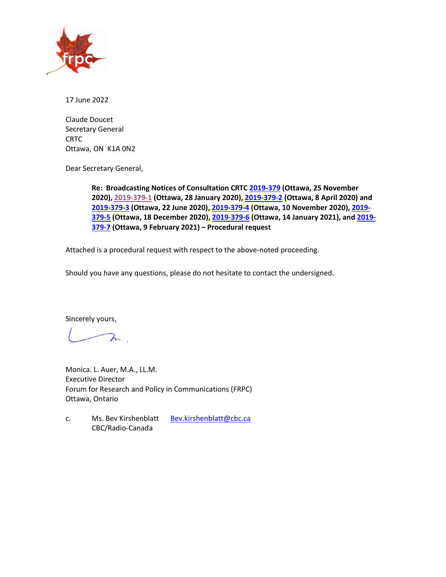

17 June 2022

Claude Doucet Secretary General **CRTC** Ottawa, ON K1A 0N2

Dear Secretary General,

**Re: Broadcasting Notices of Consultation CRTC [2019-379](https://crtc.gc.ca/eng/archive/2019/2019-379.htm) (Ottawa, 25 November 2020), [2019-379-1](https://crtc.gc.ca/eng/archive/2019/2019-379-1.htm) (Ottawa, 28 January 2020), [2019-379-2](https://crtc.gc.ca/eng/archive/2019/2019-379-2.htm) (Ottawa, 8 April 2020) and [2019-379-3](https://crtc.gc.ca/eng/archive/2019/2019-379-3.htm) (Ottawa, 22 June 2020), [2019-379-4](https://crtc.gc.ca/eng/archive/2019/2019-379-4.htm) (Ottawa, 10 November 2020), [2019-](https://crtc.gc.ca/eng/archive/2019/2019-379-5.htm) [379-5](https://crtc.gc.ca/eng/archive/2019/2019-379-5.htm) (Ottawa, 18 December 2020), [2019-379-6](https://crtc.gc.ca/eng/archive/2019/2019-379-6.htm) (Ottawa, 14 January 2021), and [2019-](https://crtc.gc.ca/eng/archive/2019/2019-379-7.htm) [379-7](https://crtc.gc.ca/eng/archive/2019/2019-379-7.htm) (Ottawa, 9 February 2021) – Procedural request** 

Attached is a procedural request with respect to the above-noted proceeding.

Should you have any questions, please do not hesitate to contact the undersigned.

Sincerely yours,

 $\lambda$ 

Monica. L. Auer, M.A., LL.M. Executive Director Forum for Research and Policy in Communications (FRPC) Ottawa, Ontario

c. Ms. Bev Kirshenblatt [Bev.kirshenblatt@cbc.ca](mailto:Bev.kirshenblatt@cbc.ca) CBC/Radio-Canada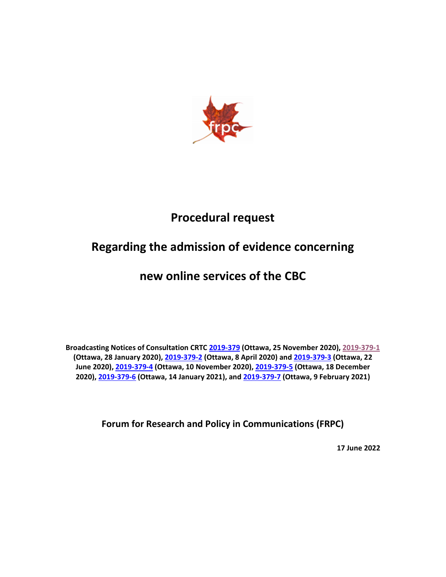

# **Procedural request**

# **Regarding the admission of evidence concerning**

# **new online services of the CBC**

**Broadcasting Notices of Consultation CRTC [2019-379](https://crtc.gc.ca/eng/archive/2019/2019-379.htm) (Ottawa, 25 November 2020), [2019-379-1](https://crtc.gc.ca/eng/archive/2019/2019-379-1.htm) (Ottawa, 28 January 2020), [2019-379-2](https://crtc.gc.ca/eng/archive/2019/2019-379-2.htm) (Ottawa, 8 April 2020) an[d 2019-379-3](https://crtc.gc.ca/eng/archive/2019/2019-379-3.htm) (Ottawa, 22 June 2020), [2019-379-4](https://crtc.gc.ca/eng/archive/2019/2019-379-4.htm) (Ottawa, 10 November 2020)[, 2019-379-5](https://crtc.gc.ca/eng/archive/2019/2019-379-5.htm) (Ottawa, 18 December 2020), [2019-379-6](https://crtc.gc.ca/eng/archive/2019/2019-379-6.htm) (Ottawa, 14 January 2021), and [2019-379-7](https://crtc.gc.ca/eng/archive/2019/2019-379-7.htm) (Ottawa, 9 February 2021)**

**Forum for Research and Policy in Communications (FRPC)**

**17 June 2022**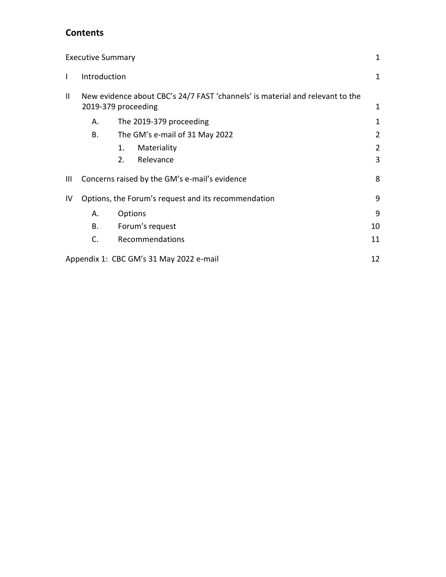## **Contents**

|              | <b>Executive Summary</b>                                                                             |                                                     | 1              |  |
|--------------|------------------------------------------------------------------------------------------------------|-----------------------------------------------------|----------------|--|
| $\mathbf{I}$ | Introduction                                                                                         |                                                     | 1              |  |
| Ш            | New evidence about CBC's 24/7 FAST 'channels' is material and relevant to the<br>2019-379 proceeding |                                                     |                |  |
|              | А.                                                                                                   | The 2019-379 proceeding                             | 1              |  |
|              | В.                                                                                                   | The GM's e-mail of 31 May 2022                      | 2              |  |
|              |                                                                                                      | Materiality<br>1.                                   | $\overline{2}$ |  |
|              |                                                                                                      | Relevance<br>2.                                     | 3              |  |
| Ш            |                                                                                                      | Concerns raised by the GM's e-mail's evidence       | 8              |  |
| IV           |                                                                                                      | Options, the Forum's request and its recommendation | 9              |  |
|              | А.                                                                                                   | <b>Options</b>                                      | 9              |  |
|              | В.                                                                                                   | Forum's request                                     | 10             |  |
|              | C.                                                                                                   | Recommendations                                     | 11             |  |
|              |                                                                                                      | Appendix 1: CBC GM's 31 May 2022 e-mail             | 12             |  |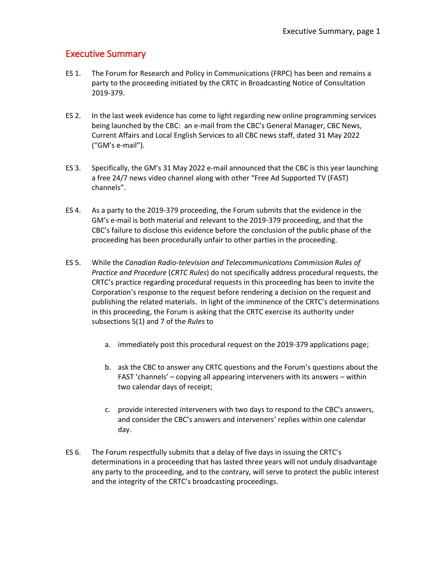## <span id="page-3-0"></span>Executive Summary

- ES 1. The Forum for Research and Policy in Communications (FRPC) has been and remains a party to the proceeding initiated by the CRTC in Broadcasting Notice of Consultation 2019-379.
- ES 2. In the last week evidence has come to light regarding new online programming services being launched by the CBC: an e-mail from the CBC's General Manager, CBC News, Current Affairs and Local English Services to all CBC news staff, dated 31 May 2022 ("GM's e-mail").
- ES 3. Specifically, the GM's 31 May 2022 e-mail announced that the CBC is this year launching a free 24/7 news video channel along with other "Free Ad Supported TV (FAST) channels".
- ES 4. As a party to the 2019-379 proceeding, the Forum submits that the evidence in the GM's e-mail is both material and relevant to the 2019-379 proceeding, and that the CBC's failure to disclose this evidence before the conclusion of the public phase of the proceeding has been procedurally unfair to other parties in the proceeding.
- ES 5. While the *Canadian Radio-television and Telecommunications Commission Rules of Practice and Procedure* (*CRTC Rules*) do not specifically address procedural requests, the CRTC's practice regarding procedural requests in this proceeding has been to invite the Corporation's response to the request before rendering a decision on the request and publishing the related materials. In light of the imminence of the CRTC's determinations in this proceeding, the Forum is asking that the CRTC exercise its authority under subsections 5(1) and 7 of the *Rules* to
	- a. immediately post this procedural request on the 2019-379 applications page;
	- b. ask the CBC to answer any CRTC questions and the Forum's questions about the FAST 'channels' – copying all appearing interveners with its answers – within two calendar days of receipt;
	- c. provide interested interveners with two days to respond to the CBC's answers, and consider the CBC's answers and interveners' replies within one calendar day.
- ES 6. The Forum respectfully submits that a delay of five days in issuing the CRTC's determinations in a proceeding that has lasted three years will not unduly disadvantage any party to the proceeding, and to the contrary, will serve to protect the public interest and the integrity of the CRTC's broadcasting proceedings.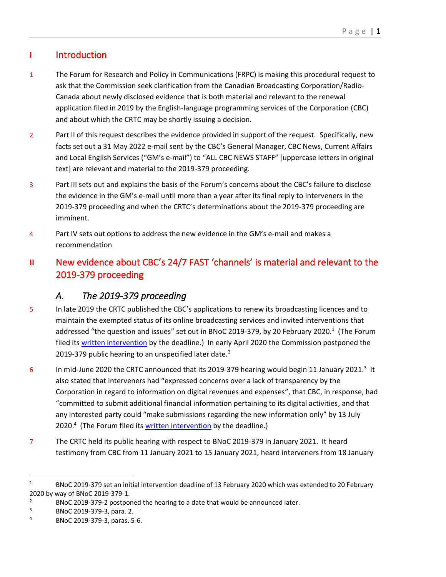## <span id="page-4-0"></span>**I** Introduction

- 1 The Forum for Research and Policy in Communications (FRPC) is making this procedural request to ask that the Commission seek clarification from the Canadian Broadcasting Corporation/Radio-Canada about newly disclosed evidence that is both material and relevant to the renewal application filed in 2019 by the English-language programming services of the Corporation (CBC) and about which the CRTC may be shortly issuing a decision.
- 2 Part II of this request describes the evidence provided in support of the request. Specifically, new facts set out a 31 May 2022 e-mail sent by the CBC's General Manager, CBC News, Current Affairs and Local English Services ("GM's e-mail") to "ALL CBC NEWS STAFF" [uppercase letters in original text] are relevant and material to the 2019-379 proceeding.
- 3 Part III sets out and explains the basis of the Forum's concerns about the CBC's failure to disclose the evidence in the GM's e-mail until more than a year after its final reply to interveners in the 2019-379 proceeding and when the CRTC's determinations about the 2019-379 proceeding are imminent.
- 4 Part IV sets out options to address the new evidence in the GM's e-mail and makes a recommendation
- <span id="page-4-1"></span>**II** New evidence about CBC's 24/7 FAST 'channels' is material and relevant to the 2019-379 proceeding

# *A. The 2019-379 proceeding*

- <span id="page-4-2"></span>5 In late 2019 the CRTC published the CBC's applications to renew its broadcasting licences and to maintain the exempted status of its online broadcasting services and invited interventions that addressed "the question and issues" set out in BNoC 2019-379, by 20 February 2020.<sup>1</sup> (The Forum filed it[s written intervention](https://frpc.net/wp-content/uploads/2020/02/2020-20-Feb-2019-379-FRPC-intervention.pdf) by the deadline.) In early April 2020 the Commission postponed the 2019-379 public hearing to an unspecified later date.<sup>2</sup>
- 6 In mid-June 2020 the CRTC announced that its 2019-379 hearing would begin 11 January 2021.<sup>3</sup> It also stated that interveners had "expressed concerns over a lack of transparency by the Corporation in regard to information on digital revenues and expenses", that CBC, in response, had "committed to submit additional financial information pertaining to its digital activities, and that any interested party could "make submissions regarding the new information only" by 13 July 2020.<sup>4</sup> (The Forum filed its [written intervention](https://frpc.net/wp-content/uploads/2022/06/2019-379-3-Phase-2-intervention-FRPC.pdf) by the deadline.)
- 7 The CRTC held its public hearing with respect to BNoC 2019-379 in January 2021. It heard testimony from CBC from 11 January 2021 to 15 January 2021, heard interveners from 18 January

<sup>&</sup>lt;sup>1</sup> BNoC 2019-379 set an initial intervention deadline of 13 February 2020 which was extended to 20 February 2020 by way of BNoC 2019-379-1.

<sup>&</sup>lt;sup>2</sup> BNoC 2019-379-2 postponed the hearing to a date that would be announced later.

<sup>3</sup> BNoC 2019-379-3, para. 2.

<sup>4</sup> BNoC 2019-379-3, paras. 5-6.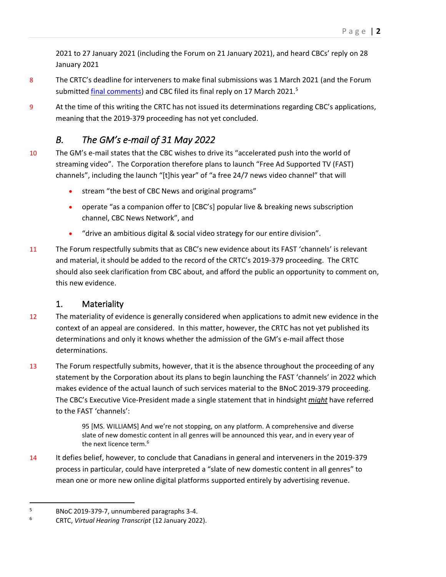2021 to 27 January 2021 (including the Forum on 21 January 2021), and heard CBCs' reply on 28 January 2021

- 8 The CRTC's deadline for interveners to make final submissions was 1 March 2021 (and the Forum submitted [final comments\)](https://frpc.net/wp-content/uploads/2022/06/2021-03-01-FRPC-Final-reply.pdf) and CBC filed its final reply on 17 March 2021.<sup>5</sup>
- 9 At the time of this writing the CRTC has not issued its determinations regarding CBC's applications, meaning that the 2019-379 proceeding has not yet concluded.

# *B. The GM's e-mail of 31 May 2022*

- <span id="page-5-0"></span>10 The GM's e-mail states that the CBC wishes to drive its "accelerated push into the world of streaming video". The Corporation therefore plans to launch "Free Ad Supported TV (FAST) channels", including the launch "[t]his year" of "a free 24/7 news video channel" that will
	- stream "the best of CBC News and original programs"
	- operate "as a companion offer to [CBC's] popular live & breaking news subscription channel, CBC News Network", and
	- "drive an ambitious digital & social video strategy for our entire division".
- 11 The Forum respectfully submits that as CBC's new evidence about its FAST 'channels' is relevant and material, it should be added to the record of the CRTC's 2019-379 proceeding. The CRTC should also seek clarification from CBC about, and afford the public an opportunity to comment on, this new evidence.

## 1. Materiality

- <span id="page-5-1"></span>12 The materiality of evidence is generally considered when applications to admit new evidence in the context of an appeal are considered. In this matter, however, the CRTC has not yet published its determinations and only it knows whether the admission of the GM's e-mail affect those determinations.
- 13 The Forum respectfully submits, however, that it is the absence throughout the proceeding of any statement by the Corporation about its plans to begin launching the FAST 'channels' in 2022 which makes evidence of the actual launch of such services material to the BNoC 2019-379 proceeding. The CBC's Executive Vice-President made a single statement that in hindsight *might* have referred to the FAST 'channels':

95 [MS. WILLIAMS] And we're not stopping, on any platform. A comprehensive and diverse slate of new domestic content in all genres will be announced this year, and in every year of the next licence term.<sup>6</sup>

14 It defies belief, however, to conclude that Canadians in general and interveners in the 2019-379 process in particular, could have interpreted a "slate of new domestic content in all genres" to mean one or more new online digital platforms supported entirely by advertising revenue.

<sup>5</sup> BNoC 2019-379-7, unnumbered paragraphs 3-4.

<sup>6</sup> CRTC, *Virtual Hearing Transcript* (12 January 2022).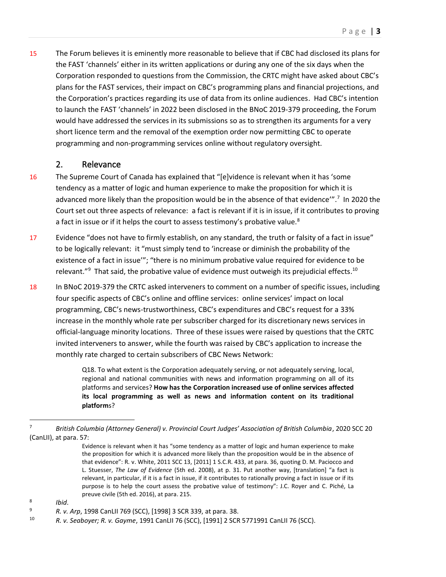15 The Forum believes it is eminently more reasonable to believe that if CBC had disclosed its plans for the FAST 'channels' either in its written applications or during any one of the six days when the Corporation responded to questions from the Commission, the CRTC might have asked about CBC's plans for the FAST services, their impact on CBC's programming plans and financial projections, and the Corporation's practices regarding its use of data from its online audiences. Had CBC's intention to launch the FAST 'channels' in 2022 been disclosed in the BNoC 2019-379 proceeding, the Forum would have addressed the services in its submissions so as to strengthen its arguments for a very short licence term and the removal of the exemption order now permitting CBC to operate programming and non-programming services online without regulatory oversight.

#### 2. Relevance

- <span id="page-6-0"></span>16 The Supreme Court of Canada has explained that "[e]vidence is relevant when it has 'some tendency as a matter of logic and human experience to make the proposition for which it is advanced more likely than the proposition would be in the absence of that evidence'".<sup>7</sup> In 2020 the Court set out three aspects of relevance: a fact is relevant if it is in issue, if it contributes to proving a fact in issue or if it helps the court to assess testimony's probative value.<sup>8</sup>
- 17 Evidence "does not have to firmly establish, on any standard, the truth or falsity of a fact in issue" to be logically relevant: it "must simply tend to 'increase or diminish the probability of the existence of a fact in issue'"; "there is no minimum probative value required for evidence to be relevant."<sup>9</sup> That said, the probative value of evidence must outweigh its prejudicial effects.<sup>10</sup>
- 18 In BNoC 2019-379 the CRTC asked interveners to comment on a number of specific issues, including four specific aspects of CBC's online and offline services: online services' impact on local programming, CBC's news-trustworthiness, CBC's expenditures and CBC's request for a 33% increase in the monthly whole rate per subscriber charged for its discretionary news services in official-language minority locations. Three of these issues were raised by questions that the CRTC invited interveners to answer, while the fourth was raised by CBC's application to increase the monthly rate charged to certain subscribers of CBC News Network:

Q18. To what extent is the Corporation adequately serving, or not adequately serving, local, regional and national communities with news and information programming on all of its platforms and services? **How has the Corporation increased use of online services affected its local programming as well as news and information content on its traditional platform**s?

<sup>7</sup> *British Columbia (Attorney General) v. Provincial Court Judges' Association of British Columbia*, 2020 SCC 20 (CanLII), at para. 57:

Evidence is relevant when it has "some tendency as a matter of logic and human experience to make the proposition for which it is advanced more likely than the proposition would be in the absence of that evidence": R. v. White, 2011 SCC 13, [2011] 1 S.C.R. 433, at para. 36, quoting D. M. Paciocco and L. Stuesser, *The Law of Evidence* (5th ed. 2008), at p. 31. Put another way, [translation] "a fact is relevant, in particular, if it is a fact in issue, if it contributes to rationally proving a fact in issue or if its purpose is to help the court assess the probative value of testimony": J.C. Royer and C. Piché, La preuve civile (5th ed. 2016), at para. 215.

<sup>8</sup> *Ibid*.

<sup>9</sup> *R. v. Arp*, 1998 CanLII 769 (SCC), [1998] 3 SCR 339, at para. 38.

<sup>10</sup> *R. v. Seaboyer; R. v. Gayme*, 1991 CanLII 76 (SCC), [1991] 2 SCR 5771991 CanLII 76 (SCC).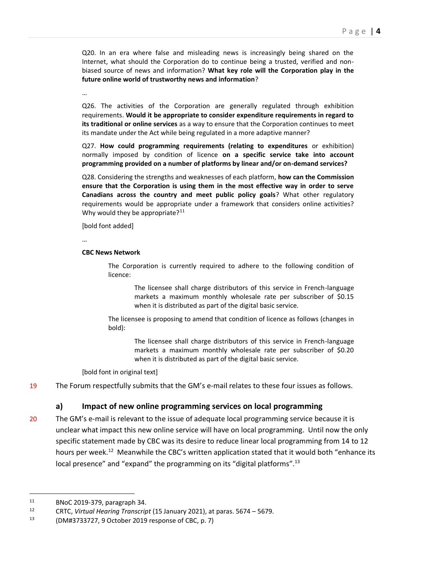Q20. In an era where false and misleading news is increasingly being shared on the Internet, what should the Corporation do to continue being a trusted, verified and nonbiased source of news and information? **What key role will the Corporation play in the future online world of trustworthy news and information**?

…

Q26. The activities of the Corporation are generally regulated through exhibition requirements. **Would it be appropriate to consider expenditure requirements in regard to its traditional or online services** as a way to ensure that the Corporation continues to meet its mandate under the Act while being regulated in a more adaptive manner?

Q27. **How could programming requirements (relating to expenditures** or exhibition) normally imposed by condition of licence **on a specific service take into account programming provided on a number of platforms by linear and/or on-demand services?**

Q28. Considering the strengths and weaknesses of each platform, **how can the Commission ensure that the Corporation is using them in the most effective way in order to serve Canadians across the country and meet public policy goals**? What other regulatory requirements would be appropriate under a framework that considers online activities? Why would they be appropriate? $11$ 

[bold font added]

…

#### **CBC News Network**

The Corporation is currently required to adhere to the following condition of licence:

> The licensee shall charge distributors of this service in French-language markets a maximum monthly wholesale rate per subscriber of \$0.15 when it is distributed as part of the digital basic service.

The licensee is proposing to amend that condition of licence as follows (changes in bold):

> The licensee shall charge distributors of this service in French-language markets a maximum monthly wholesale rate per subscriber of \$0.20 when it is distributed as part of the digital basic service.

[bold font in original text]

19 The Forum respectfully submits that the GM's e-mail relates to these four issues as follows.

#### **a) Impact of new online programming services on local programming**

20 The GM's e-mail is relevant to the issue of adequate local programming service because it is unclear what impact this new online service will have on local programming. Until now the only specific statement made by CBC was its desire to reduce linear local programming from 14 to 12 hours per week.<sup>12</sup> Meanwhile the CBC's written application stated that it would both "enhance its local presence" and "expand" the programming on its "digital platforms".<sup>13</sup>

<sup>&</sup>lt;sup>11</sup> BNoC 2019-379, paragraph 34.

<sup>12</sup> CRTC, *Virtual Hearing Transcript* (15 January 2021), at paras. 5674 – 5679.

<sup>13</sup> (DM#3733727, 9 October 2019 response of CBC, p. 7)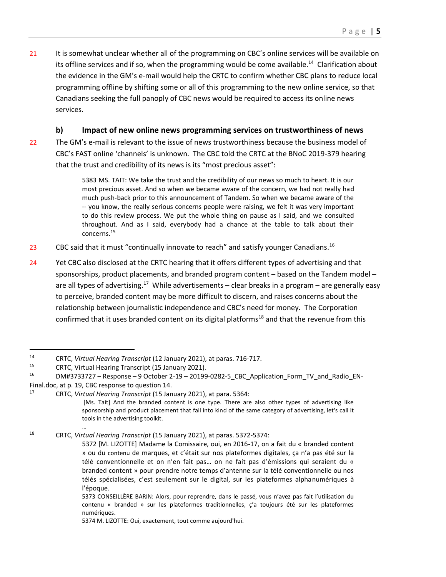21 It is somewhat unclear whether all of the programming on CBC's online services will be available on its offline services and if so, when the programming would be come available.<sup>14</sup> Clarification about the evidence in the GM's e-mail would help the CRTC to confirm whether CBC plans to reduce local programming offline by shifting some or all of this programming to the new online service, so that Canadians seeking the full panoply of CBC news would be required to access its online news services.

#### **b) Impact of new online news programming services on trustworthiness of news**

22 The GM's e-mail is relevant to the issue of news trustworthiness because the business model of CBC's FAST online 'channels' is unknown. The CBC told the CRTC at the BNoC 2019-379 hearing that the trust and credibility of its news is its "most precious asset":

> 5383 MS. TAIT: We take the trust and the credibility of our news so much to heart. It is our most precious asset. And so when we became aware of the concern, we had not really had much push-back prior to this announcement of Tandem. So when we became aware of the -- you know, the really serious concerns people were raising, we felt it was very important to do this review process. We put the whole thing on pause as I said, and we consulted throughout. And as I said, everybody had a chance at the table to talk about their concerns.<sup>15</sup>

- 23 CBC said that it must "continually innovate to reach" and satisfy younger Canadians.<sup>16</sup>
- 24 Yet CBC also disclosed at the CRTC hearing that it offers different types of advertising and that sponsorships, product placements, and branded program content – based on the Tandem model – are all types of advertising.<sup>17</sup> While advertisements – clear breaks in a program – are generally easy to perceive, branded content may be more difficult to discern, and raises concerns about the relationship between journalistic independence and CBC's need for money. The Corporation confirmed that it uses branded content on its digital platforms<sup>18</sup> and that the revenue from this

… <sup>18</sup> CRTC, *Virtual Hearing Transcript* (15 January 2021), at paras. 5372-5374:

<sup>14</sup> CRTC, *Virtual Hearing Transcript* (12 January 2021), at paras. 716-717.

<sup>&</sup>lt;sup>15</sup> CRTC, Virtual Hearing Transcript (15 January 2021).<br><sup>16</sup> DM#2722727 - Pesponse - 9 Ostober 2, 19 - 20199

<sup>16</sup> DM#3733727 – Response – 9 October 2-19 – 20199-0282-5\_CBC\_Application\_Form\_TV\_and\_Radio\_EN-Final.doc, at p. 19, CBC response to question 14.<br><sup>17</sup> CBTC, Virtual Hearing Transcript (15. Jan

<sup>17</sup> CRTC, *Virtual Hearing Transcript* (15 January 2021), at para. 5364:

<sup>[</sup>Ms. Tait] And the branded content is one type. There are also other types of advertising like sponsorship and product placement that fall into kind of the same category of advertising, let's call it tools in the advertising toolkit.

<sup>5372 [</sup>M. LIZOTTE] Madame la Comissaire, oui, en 2016-17, on a fait du « branded content » ou du contenu de marques, et c'était sur nos plateformes digitales, ça n'a pas été sur la télé conventionnelle et on n'en fait pas… on ne fait pas d'émissions qui seraient du « branded content » pour prendre notre temps d'antenne sur la télé conventionnelle ou nos télés spécialisées, c'est seulement sur le digital, sur les plateformes alphanumériques à l'époque.

<sup>5373</sup> CONSEILLÈRE BARIN: Alors, pour reprendre, dans le passé, vous n'avez pas fait l'utilisation du contenu « branded » sur les plateformes traditionnelles, ç'a toujours été sur les plateformes numériques.

<sup>5374</sup> M. LIZOTTE: Oui, exactement, tout comme aujourd'hui.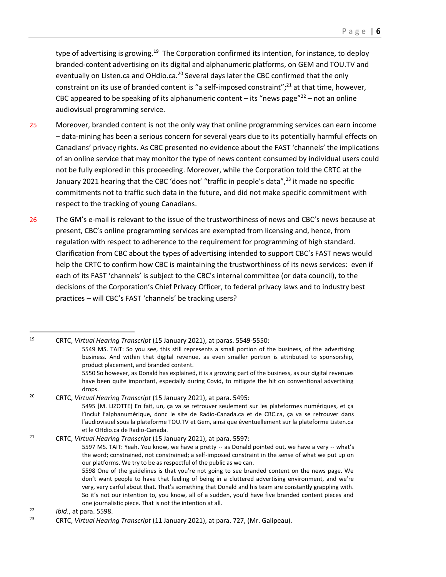type of advertising is growing.<sup>19</sup> The Corporation confirmed its intention, for instance, to deploy branded-content advertising on its digital and alphanumeric platforms, on GEM and TOU.TV and eventually on Listen.ca and OHdio.ca.<sup>20</sup> Several days later the CBC confirmed that the only constraint on its use of branded content is "a self-imposed constraint";<sup>21</sup> at that time, however, CBC appeared to be speaking of its alphanumeric content – its "news page"<sup>22</sup> – not an online audiovisual programming service.

- 25 Moreover, branded content is not the only way that online programming services can earn income – data-mining has been a serious concern for several years due to its potentially harmful effects on Canadians' privacy rights. As CBC presented no evidence about the FAST 'channels' the implications of an online service that may monitor the type of news content consumed by individual users could not be fully explored in this proceeding. Moreover, while the Corporation told the CRTC at the January 2021 hearing that the CBC 'does not' "traffic in people's data",<sup>23</sup> it made no specific commitments not to traffic such data in the future, and did not make specific commitment with respect to the tracking of young Canadians.
- 26 The GM's e-mail is relevant to the issue of the trustworthiness of news and CBC's news because at present, CBC's online programming services are exempted from licensing and, hence, from regulation with respect to adherence to the requirement for programming of high standard. Clarification from CBC about the types of advertising intended to support CBC's FAST news would help the CRTC to confirm how CBC is maintaining the trustworthiness of its news services: even if each of its FAST 'channels' is subject to the CBC's internal committee (or data council), to the decisions of the Corporation's Chief Privacy Officer, to federal privacy laws and to industry best practices – will CBC's FAST 'channels' be tracking users?

<sup>21</sup> CRTC, *Virtual Hearing Transcript* (15 January 2021), at para. 5597: 5597 MS. TAIT: Yeah. You know, we have a pretty -- as Donald pointed out, we have a very -- what's the word; constrained, not constrained; a self-imposed constraint in the sense of what we put up on our platforms. We try to be as respectful of the public as we can. 5598 One of the guidelines is that you're not going to see branded content on the news page. We don't want people to have that feeling of being in a cluttered advertising environment, and we're very, very carful about that. That's something that Donald and his team are constantly grappling with. So it's not our intention to, you know, all of a sudden, you'd have five branded content pieces and

<sup>19</sup> CRTC, *Virtual Hearing Transcript* (15 January 2021), at paras. 5549-5550:

<sup>5549</sup> MS. TAIT: So you see, this still represents a small portion of the business, of the advertising business. And within that digital revenue, as even smaller portion is attributed to sponsorship, product placement, and branded content.

<sup>5550</sup> So however, as Donald has explained, it is a growing part of the business, as our digital revenues have been quite important, especially during Covid, to mitigate the hit on conventional advertising drops.

<sup>20</sup> CRTC, *Virtual Hearing Transcript* (15 January 2021), at para. 5495:

<sup>5495 [</sup>M. LIZOTTE) En fait, un, ça va se retrouver seulement sur les plateformes numériques, et ça l'inclut l'alphanumérique, donc le site de Radio-Canada.ca et de CBC.ca, ça va se retrouver dans l'audiovisuel sous la plateforme TOU.TV et Gem, ainsi que éventuellement sur la plateforme Listen.ca et le OHdio.ca de Radio-Canada.

one journalistic piece. That is not the intention at all.

<sup>22</sup> *Ibid*., at para. 5598.

<sup>23</sup> CRTC, *Virtual Hearing Transcript* (11 January 2021), at para. 727, (Mr. Galipeau).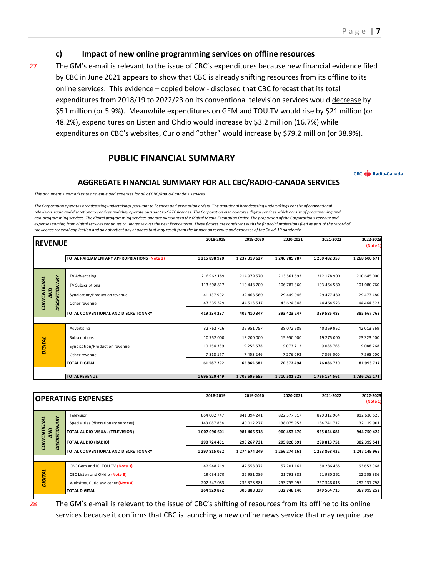#### **c) Impact of new online programming services on offline resources**

27 The GM's e-mail is relevant to the issue of CBC's expenditures because new financial evidence filed by CBC in June 2021 appears to show that CBC is already shifting resources from its offline to its online services. This evidence – copied below - disclosed that CBC forecast that its total expenditures from 2018/19 to 2022/23 on its conventional television services would decrease by \$51 million (or 5.9%). Meanwhile expenditures on GEM and TOU.TV would rise by \$21 million (or 48.2%), expenditures on Listen and Ohdio would increase by \$3.2 million (16.7%) while expenditures on CBC's websites, Curio and "other" would increase by \$79.2 million (or 38.9%).

#### **PUBLIC FINANCIAL SUMMARY**

CBC **(B)** Radio-Canada

#### **AGGREGATE FINANCIAL SUMMARY FOR ALL CBC/RADIO‐CANADA SERVICES**

*This document summarizes the revenue and expenses for all of CBC/Radio‐Canada's services.*

The Corporation operates broadcasting undertakings pursuant to licences and exemption orders. The traditional broadcasting undertakings consist of conventional television, radio and discretionary services and they operate pursuant to CRTC licences. The Corporation also operates digital services which consist of programming and non-programming services. The digital programming services operate pursuant to the Digital Media Exemption Order. The proportion of the Corporation's revenue and expenses coming from digital services continues to increase over the next licence term. These figures are consistent with the financial projections filed as part of the record of the licence renewal application and do not reflect any changes that may result from the impact on revenue and expenses of the Covid-19 pandemic.

|                                             |                                             | 2018-2019     | 2019-2020     | 2020-2021     | 2021-2022     | 2022-2023     |
|---------------------------------------------|---------------------------------------------|---------------|---------------|---------------|---------------|---------------|
| <b>IREVENUE</b>                             |                                             |               |               |               |               | (Note 1)      |
|                                             | TOTAL PARLIAMENTARY APPROPRIATIONS (Note 2) | 1 215 898 920 | 1 237 319 627 | 1 246 785 787 | 1 260 482 358 | 1 268 600 671 |
|                                             |                                             |               |               |               |               |               |
|                                             | TV Advertising                              | 216 962 189   | 214 979 570   | 213 561 593   | 212 178 900   | 210 645 000   |
|                                             | TV Subscriptions                            | 113 698 817   | 110 448 700   | 106 787 360   | 103 464 580   | 101 080 760   |
| gw                                          | Syndication/Production revenue              | 41 137 902    | 32 468 560    | 29 449 946    | 29 477 480    | 29 477 480    |
| <b>DISCRETIONARY</b><br><b>CONVENTIONAL</b> | Other revenue                               | 47 535 329    | 44 513 517    | 43 624 348    | 44 464 523    | 44 464 523    |
|                                             | TOTAL CONVENTIONAL AND DISCRETIONARY        | 419 334 237   | 402 410 347   | 393 423 247   | 389 585 483   | 385 667 763   |
|                                             |                                             |               |               |               |               |               |
|                                             | Advertising                                 | 32 762 726    | 35 951 757    | 38 072 689    | 40 359 952    | 42 013 969    |
|                                             | Subscriptions                               | 10 752 000    | 13 200 000    | 15 950 000    | 19 275 000    | 23 323 000    |
| <b>DIGITAL</b>                              | Syndication/Production revenue              | 10 254 389    | 9 2 5 5 6 7 8 | 9 0 7 3 7 1 2 | 9088768       | 9088768       |
|                                             | Other revenue                               | 7818177       | 7 4 5 8 2 4 6 | 7 276 093     | 7 3 6 3 0 0 0 | 7 5 68 000    |
|                                             | <b>TOTAL DIGITAL</b>                        | 61 587 292    | 65 865 681    | 70 372 494    | 76 086 720    | 81 993 737    |
|                                             |                                             |               |               |               |               |               |
|                                             | <b>TOTAL REVENUE</b>                        | 1696820449    | 1705 595 655  | 1710581528    | 1726 154 561  | 1736 262 171  |

|                                                  | <b>OPERATING EXPENSES</b>             | 2018-2019     | 2019-2020     | 2020-2021     | 2021-2022     | 2022-2023<br>(Note 1) |
|--------------------------------------------------|---------------------------------------|---------------|---------------|---------------|---------------|-----------------------|
|                                                  | Television                            | 864 002 747   | 841 394 241   | 822 377 517   | 820 312 964   | 812 630 523           |
|                                                  | Specialities (discretionary services) | 143 087 854   | 140 012 277   | 138 075 953   | 134 741 717   | 132 119 901           |
| <b>DISCRETIONARY</b><br><b>CONVENTIONAL</b><br>g | TOTAL AUDIO-VISUAL (TELEVISION)       | 1007090601    | 981 406 518   | 960 453 470   | 955 054 681   | 944 750 424           |
|                                                  | <b>TOTAL AUDIO (RADIO)</b>            | 290 724 451   | 293 267 731   | 295 820 691   | 298 813 751   | 302 399 541           |
|                                                  | TOTAL CONVENTIONAL AND DISCRETIONARY  | 1 297 815 052 | 1 274 674 249 | 1 256 274 161 | 1 253 868 432 | 1 247 149 965         |
|                                                  |                                       |               |               |               |               |                       |
|                                                  | CBC Gem and ICI TOU.TV (Note 3)       | 42 948 219    | 47 558 372    | 57 201 162    | 60 286 435    | 63 653 068            |
| <b>DIGITAL</b>                                   | CBC Listen and OHdio (Note 3)         | 19 034 570    | 22 951 086    | 21 791 883    | 21 930 262    | 22 208 386            |
|                                                  | Websites, Curio and other (Note 4)    | 202 947 083   | 236 378 881   | 253 755 095   | 267 348 018   | 282 137 798           |
|                                                  | <b>TOTAL DIGITAL</b>                  | 264 929 872   | 306 888 339   | 332 748 140   | 349 564 715   | 367 999 252           |
|                                                  |                                       |               |               |               |               |                       |

28 The GM's e-mail is relevant to the issue of CBC's shifting of resources from its offline to its online services because it confirms that CBC is launching a new online news service that may require use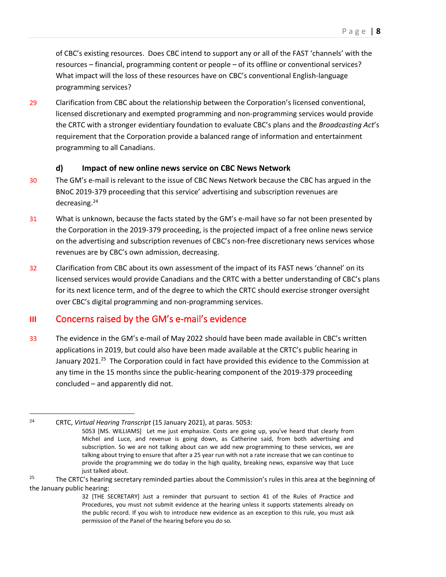of CBC's existing resources. Does CBC intend to support any or all of the FAST 'channels' with the resources – financial, programming content or people – of its offline or conventional services? What impact will the loss of these resources have on CBC's conventional English-language programming services?

29 Clarification from CBC about the relationship between the Corporation's licensed conventional, licensed discretionary and exempted programming and non-programming services would provide the CRTC with a stronger evidentiary foundation to evaluate CBC's plans and the *Broadcasting Act*'s requirement that the Corporation provide a balanced range of information and entertainment programming to all Canadians.

#### **d) Impact of new online news service on CBC News Network**

- 30 The GM's e-mail is relevant to the issue of CBC News Network because the CBC has argued in the BNoC 2019-379 proceeding that this service' advertising and subscription revenues are decreasing.<sup>24</sup>
- 31 What is unknown, because the facts stated by the GM's e-mail have so far not been presented by the Corporation in the 2019-379 proceeding, is the projected impact of a free online news service on the advertising and subscription revenues of CBC's non-free discretionary news services whose revenues are by CBC's own admission, decreasing.
- 32 Clarification from CBC about its own assessment of the impact of its FAST news 'channel' on its licensed services would provide Canadians and the CRTC with a better understanding of CBC's plans for its next licence term, and of the degree to which the CRTC should exercise stronger oversight over CBC's digital programming and non-programming services.

## <span id="page-11-0"></span>**III** Concerns raised by the GM's e-mail's evidence

33 The evidence in the GM's e-mail of May 2022 should have been made available in CBC's written applications in 2019, but could also have been made available at the CRTC's public hearing in January 2021.<sup>25</sup> The Corporation could in fact have provided this evidence to the Commission at any time in the 15 months since the public-hearing component of the 2019-379 proceeding concluded – and apparently did not.

<sup>24</sup> CRTC, *Virtual Hearing Transcript* (15 January 2021), at paras. 5053:

<sup>5053 [</sup>MS. WILLIAMS] Let me just emphasize. Costs are going up, you've heard that clearly from Michel and Luce, and revenue is going down, as Catherine said, from both advertising and subscription. So we are not talking about can we add new programming to these services, we are talking about trying to ensure that after a 25 year run with not a rate increase that we can continue to provide the programming we do today in the high quality, breaking news, expansive way that Luce just talked about.

<sup>&</sup>lt;sup>25</sup> The CRTC's hearing secretary reminded parties about the Commission's rules in this area at the beginning of the January public hearing:

<sup>32 [</sup>THE SECRETARY] Just a reminder that pursuant to section 41 of the Rules of Practice and Procedures, you must not submit evidence at the hearing unless it supports statements already on the public record. If you wish to introduce new evidence as an exception to this rule, you must ask permission of the Panel of the hearing before you do so.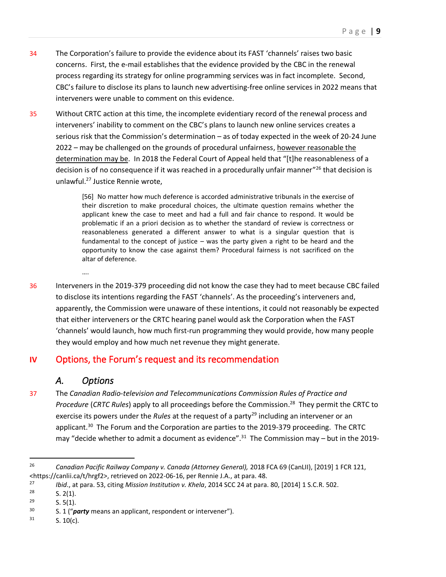- 34 The Corporation's failure to provide the evidence about its FAST 'channels' raises two basic concerns. First, the e-mail establishes that the evidence provided by the CBC in the renewal process regarding its strategy for online programming services was in fact incomplete. Second, CBC's failure to disclose its plans to launch new advertising-free online services in 2022 means that interveners were unable to comment on this evidence.
- 35 Without CRTC action at this time, the incomplete evidentiary record of the renewal process and interveners' inability to comment on the CBC's plans to launch new online services creates a serious risk that the Commission's determination – as of today expected in the week of 20-24 June 2022 – may be challenged on the grounds of procedural unfairness, however reasonable the determination may be. In 2018 the Federal Court of Appeal held that "[t]he reasonableness of a decision is of no consequence if it was reached in a procedurally unfair manner"<sup>26</sup> that decision is unlawful.<sup>27</sup> Justice Rennie wrote,

[56] No matter how much deference is accorded administrative tribunals in the exercise of their discretion to make procedural choices, the ultimate question remains whether the applicant knew the case to meet and had a full and fair chance to respond. It would be problematic if an a priori decision as to whether the standard of review is correctness or reasonableness generated a different answer to what is a singular question that is fundamental to the concept of justice – was the party given a right to be heard and the opportunity to know the case against them? Procedural fairness is not sacrificed on the altar of deference.

36 Interveners in the 2019-379 proceeding did not know the case they had to meet because CBC failed to disclose its intentions regarding the FAST 'channels'. As the proceeding's interveners and, apparently, the Commission were unaware of these intentions, it could not reasonably be expected that either interveners or the CRTC hearing panel would ask the Corporation when the FAST 'channels' would launch, how much first-run programming they would provide, how many people they would employ and how much net revenue they might generate.

## <span id="page-12-0"></span>**IV** Options, the Forum's request and its recommendation

## *A. Options*

….

<span id="page-12-1"></span>37 The *Canadian Radio-television and Telecommunications Commission Rules of Practice and Procedure* (*CRTC Rules*) apply to all proceedings before the Commission. 28 They permit the CRTC to exercise its powers under the *Rules* at the request of a party<sup>29</sup> including an intervener or an applicant.<sup>30</sup> The Forum and the Corporation are parties to the 2019-379 proceeding. The CRTC may "decide whether to admit a document as evidence".<sup>31</sup> The Commission may – but in the 2019-

<sup>26</sup> *Canadian Pacific Railway Company v. Canada (Attorney General),* 2018 FCA 69 (CanLII), [2019] 1 FCR 121, <https://canlii.ca/t/hrgf2>, retrieved on 2022-06-16, per Rennie J.A., at para. 48.

<sup>27</sup> *Ibid*., at para. 53, citing *Mission Institution v. Khela*, 2014 SCC 24 at para. 80, [2014] 1 S.C.R. 502.

 $\begin{array}{ccc} 28 & & \text{S. 2(1).} \\ 29 & & \text{S. 5(1).} \end{array}$ 

 $\begin{array}{ccc} 29 & & \text{S. } 5(1). \\ 30 & & \text{S. } 1 \end{array}$ 

<sup>30</sup> S. 1 ("*party* means an applicant, respondent or intervener").

 $31$  S. 10(c).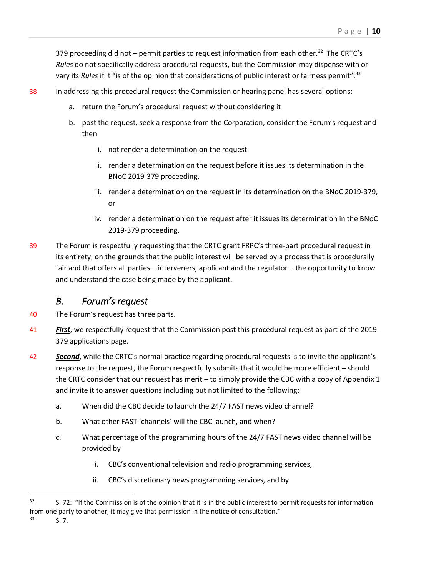379 proceeding did not  $-$  permit parties to request information from each other.<sup>32</sup> The CRTC's *Rules* do not specifically address procedural requests, but the Commission may dispense with or vary its *Rules* if it "is of the opinion that considerations of public interest or fairness permit". 33

- 38 In addressing this procedural request the Commission or hearing panel has several options:
	- a. return the Forum's procedural request without considering it
	- b. post the request, seek a response from the Corporation, consider the Forum's request and then
		- i. not render a determination on the request
		- ii. render a determination on the request before it issues its determination in the BNoC 2019-379 proceeding,
		- iii. render a determination on the request in its determination on the BNoC 2019-379, or
		- iv. render a determination on the request after it issues its determination in the BNoC 2019-379 proceeding.
- 39 The Forum is respectfully requesting that the CRTC grant FRPC's three-part procedural request in its entirety, on the grounds that the public interest will be served by a process that is procedurally fair and that offers all parties – interveners, applicant and the regulator – the opportunity to know and understand the case being made by the applicant.

## *B. Forum's request*

- <span id="page-13-0"></span>40 The Forum's request has three parts.
- 41 *First*, we respectfully request that the Commission post this procedural request as part of the 2019- 379 applications page.
- **Second**, while the CRTC's normal practice regarding procedural requests is to invite the applicant's response to the request, the Forum respectfully submits that it would be more efficient – should the CRTC consider that our request has merit – to simply provide the CBC with a copy of Appendix 1 and invite it to answer questions including but not limited to the following:
	- a. When did the CBC decide to launch the 24/7 FAST news video channel?
	- b. What other FAST 'channels' will the CBC launch, and when?
	- c. What percentage of the programming hours of the 24/7 FAST news video channel will be provided by
		- i. CBC's conventional television and radio programming services,
		- ii. CBC's discretionary news programming services, and by

 $32$  S. 72: "If the Commission is of the opinion that it is in the public interest to permit requests for information from one party to another, it may give that permission in the notice of consultation."

 $33$  S. 7.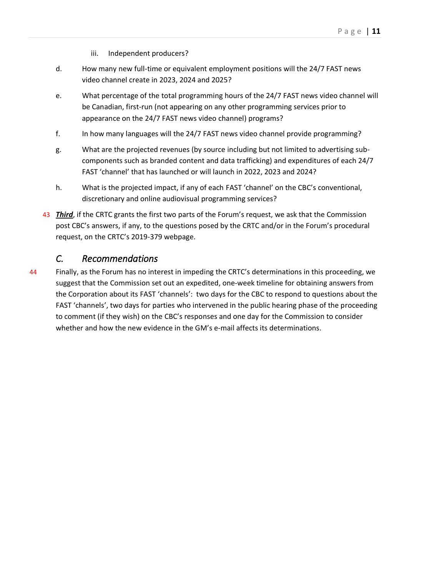- iii. Independent producers?
- d. How many new full-time or equivalent employment positions will the 24/7 FAST news video channel create in 2023, 2024 and 2025?
- e. What percentage of the total programming hours of the 24/7 FAST news video channel will be Canadian, first-run (not appearing on any other programming services prior to appearance on the 24/7 FAST news video channel) programs?
- f. In how many languages will the 24/7 FAST news video channel provide programming?
- g. What are the projected revenues (by source including but not limited to advertising subcomponents such as branded content and data trafficking) and expenditures of each 24/7 FAST 'channel' that has launched or will launch in 2022, 2023 and 2024?
- h. What is the projected impact, if any of each FAST 'channel' on the CBC's conventional, discretionary and online audiovisual programming services?
- 43 *Third*, if the CRTC grants the first two parts of the Forum's request, we ask that the Commission post CBC's answers, if any, to the questions posed by the CRTC and/or in the Forum's procedural request, on the CRTC's 2019-379 webpage.

#### *C. Recommendations*

<span id="page-14-0"></span>44 Finally, as the Forum has no interest in impeding the CRTC's determinations in this proceeding, we suggest that the Commission set out an expedited, one-week timeline for obtaining answers from the Corporation about its FAST 'channels': two days for the CBC to respond to questions about the FAST 'channels', two days for parties who intervened in the public hearing phase of the proceeding to comment (if they wish) on the CBC's responses and one day for the Commission to consider whether and how the new evidence in the GM's e-mail affects its determinations.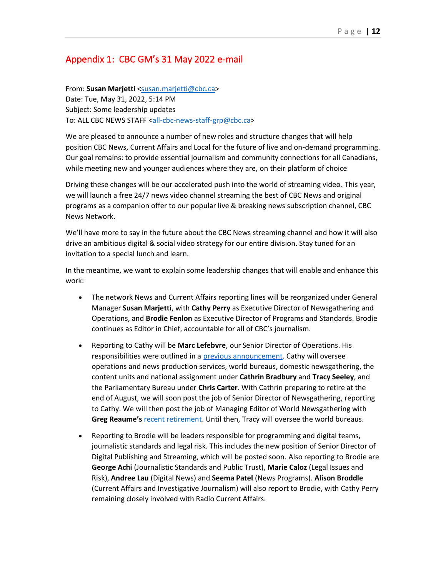## <span id="page-15-0"></span>Appendix 1: CBC GM's 31 May 2022 e-mail

From: **Susan Marjetti** <susan.marjetti@cbc.ca> Date: Tue, May 31, 2022, 5:14 PM Subject: Some leadership updates To: ALL CBC NEWS STAFF <all-cbc-news-staff-grp@cbc.ca>

We are pleased to announce a number of new roles and structure changes that will help position CBC News, Current Affairs and Local for the future of live and on-demand programming. Our goal remains: to provide essential journalism and community connections for all Canadians, while meeting new and younger audiences where they are, on their platform of choice

Driving these changes will be our accelerated push into the world of streaming video. This year, we will launch a free 24/7 news video channel streaming the best of CBC News and original programs as a companion offer to our popular live & breaking news subscription channel, CBC News Network.

We'll have more to say in the future about the CBC News streaming channel and how it will also drive an ambitious digital & social video strategy for our entire division. Stay tuned for an invitation to a special lunch and learn.

In the meantime, we want to explain some leadership changes that will enable and enhance this work:

- The network News and Current Affairs reporting lines will be reorganized under General Manager **Susan Marjetti**, with **Cathy Perry** as Executive Director of Newsgathering and Operations, and **Brodie Fenlon** as Executive Director of Programs and Standards. Brodie continues as Editor in Chief, accountable for all of CBC's journalism.
- Reporting to Cathy will be **Marc Lefebvre**, our Senior Director of Operations. His responsibilities were outlined in a previous announcement. Cathy will oversee operations and news production services, world bureaus, domestic newsgathering, the content units and national assignment under **Cathrin Bradbury** and **Tracy Seeley**, and the Parliamentary Bureau under **Chris Carter**. With Cathrin preparing to retire at the end of August, we will soon post the job of Senior Director of Newsgathering, reporting to Cathy. We will then post the job of Managing Editor of World Newsgathering with **Greg Reaume's** recent retirement. Until then, Tracy will oversee the world bureaus.
- Reporting to Brodie will be leaders responsible for programming and digital teams, journalistic standards and legal risk. This includes the new position of Senior Director of Digital Publishing and Streaming, which will be posted soon. Also reporting to Brodie are **George Achi** (Journalistic Standards and Public Trust), **Marie Caloz** (Legal Issues and Risk), **Andree Lau** (Digital News) and **Seema Patel** (News Programs). **Alison Broddle** (Current Affairs and Investigative Journalism) will also report to Brodie, with Cathy Perry remaining closely involved with Radio Current Affairs.